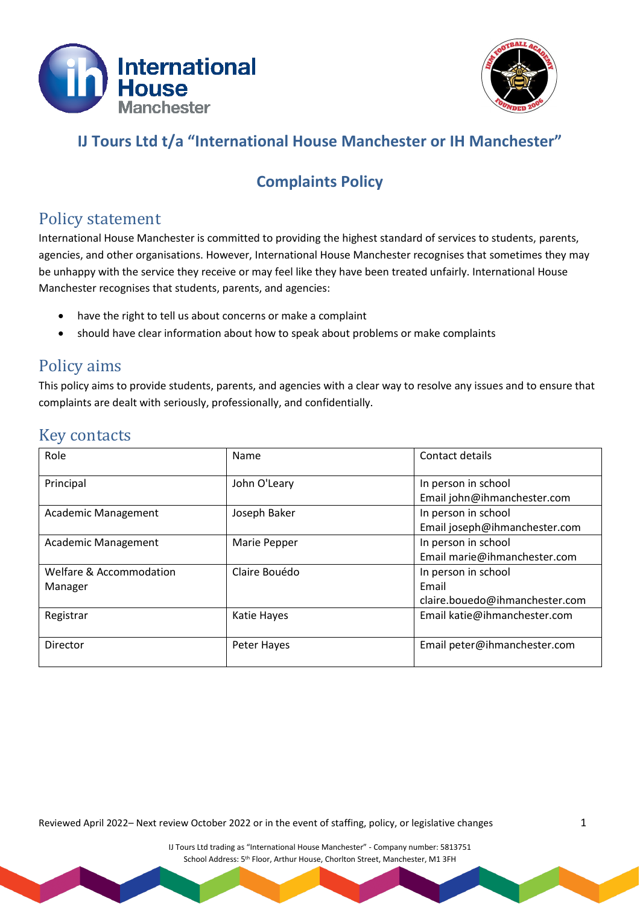



## **IJ Tours Ltd t/a "International House Manchester or IH Manchester"**

# **Complaints Policy**

#### Policy statement

International House Manchester is committed to providing the highest standard of services to students, parents, agencies, and other organisations. However, International House Manchester recognises that sometimes they may be unhappy with the service they receive or may feel like they have been treated unfairly. International House Manchester recognises that students, parents, and agencies:

- have the right to tell us about concerns or make a complaint
- should have clear information about how to speak about problems or make complaints

# Policy aims

This policy aims to provide students, parents, and agencies with a clear way to resolve any issues and to ensure that complaints are dealt with seriously, professionally, and confidentially.

### Key contacts

| Role                       | Name          | Contact details                |
|----------------------------|---------------|--------------------------------|
| Principal                  | John O'Leary  | In person in school            |
|                            |               | Email john@ihmanchester.com    |
| Academic Management        | Joseph Baker  | In person in school            |
|                            |               | Email joseph@ihmanchester.com  |
| <b>Academic Management</b> | Marie Pepper  | In person in school            |
|                            |               | Email marie@ihmanchester.com   |
| Welfare & Accommodation    | Claire Bouédo | In person in school            |
| Manager                    |               | Email                          |
|                            |               | claire.bouedo@ihmanchester.com |
| Registrar                  | Katie Hayes   | Email katie@ihmanchester.com   |
|                            |               |                                |
| Director                   | Peter Hayes   | Email peter@ihmanchester.com   |
|                            |               |                                |

Reviewed April 2022– Next review October 2022 or in the event of staffing, policy, or legislative changes 1

IJ Tours Ltd trading as "International House Manchester" - Company number: 5813751 School Address: 5<sup>th</sup> Floor, Arthur House, Chorlton Street, Manchester, M1 3FH